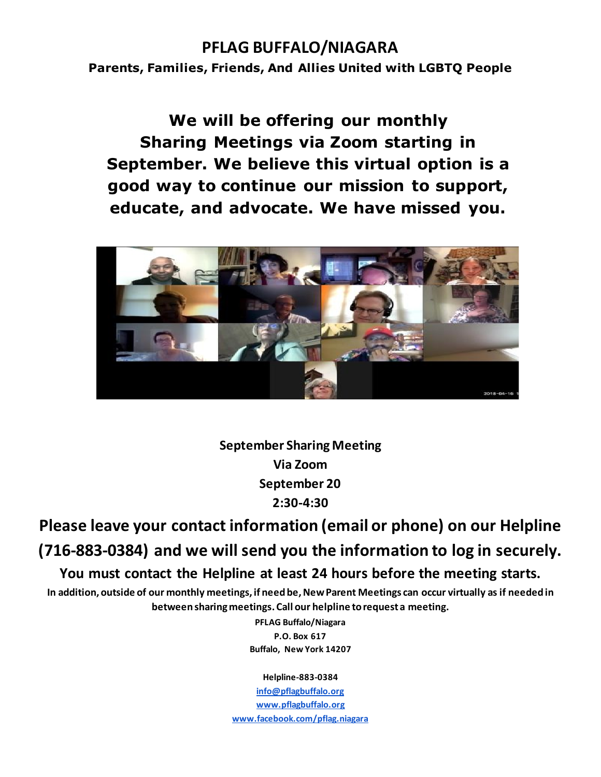## **PFLAG BUFFALO/NIAGARA**

**Parents, Families, Friends, And Allies United with LGBTQ People**

**We will be offering our monthly Sharing Meetings via Zoom starting in September. We believe this virtual option is a good way to continue our mission to support, educate, and advocate. We have missed you.**



**September Sharing Meeting Via Zoom September 20 2:30-4:30**

**Please leave your contact information (email or phone) on our Helpline (716-883-0384) and we will send you the information to log in securely. You must contact the Helpline at least 24 hours before the meeting starts.**

**In addition, outside of our monthly meetings, if need be, New Parent Meetings can occur virtually as if needed in between sharing meetings. Call our helpline to request a meeting.**

> **PFLAG Buffalo/Niagara P.O. Box 617 Buffalo, New York 14207**

> > **Helpline-883-0384**

**[info@pflagbuffalo.org](mailto:info@pflagbuffalo.org) [www.pflagbuffalo.org](http://www.pflagbuffalo.org/) [www.facebook.com/pflag.niagara](http://www.facebook.com/pflag.niagara)**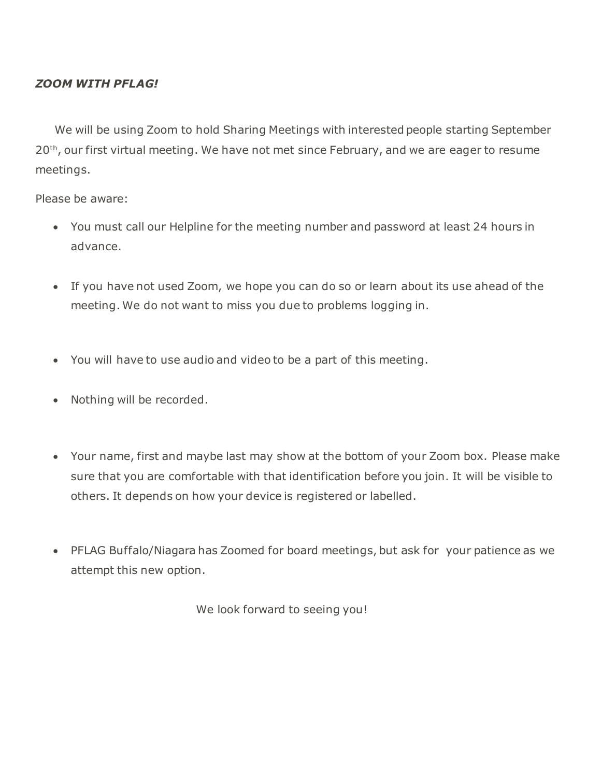### *ZOOM WITH PFLAG!*

 We will be using Zoom to hold Sharing Meetings with interested people starting September 20<sup>th</sup>, our first virtual meeting. We have not met since February, and we are eager to resume meetings.

Please be aware:

- You must call our Helpline for the meeting number and password at least 24 hours in advance.
- If you have not used Zoom, we hope you can do so or learn about its use ahead of the meeting. We do not want to miss you due to problems logging in.
- You will have to use audio and video to be a part of this meeting.
- Nothing will be recorded.
- Your name, first and maybe last may show at the bottom of your Zoom box. Please make sure that you are comfortable with that identification before you join. It will be visible to others. It depends on how your device is registered or labelled.
- PFLAG Buffalo/Niagara has Zoomed for board meetings, but ask for your patience as we attempt this new option.

We look forward to seeing you!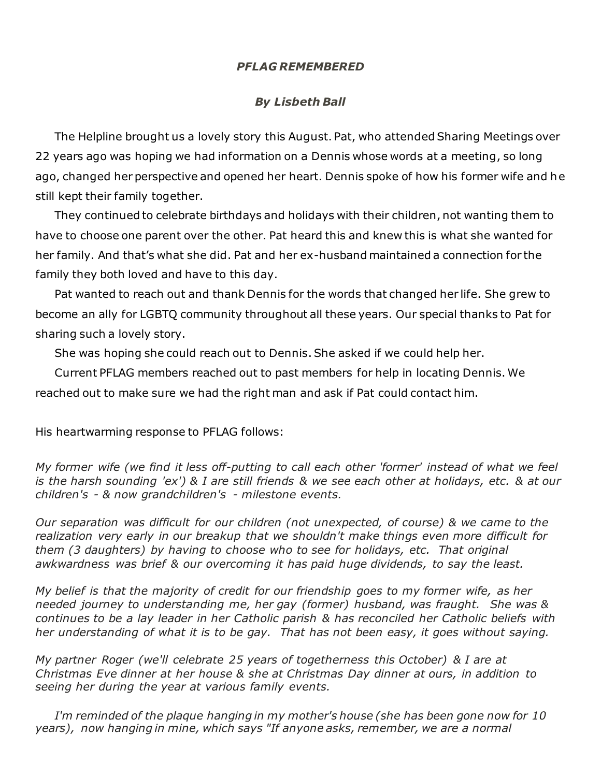#### *PFLAG REMEMBERED*

### *By Lisbeth Ball*

 The Helpline brought us a lovely story this August. Pat, who attended Sharing Meetings over 22 years ago was hoping we had information on a Dennis whose words at a meeting, so long ago, changed her perspective and opened her heart. Dennis spoke of how his former wife and he still kept their family together.

 They continued to celebrate birthdays and holidays with their children, not wanting them to have to choose one parent over the other. Pat heard this and knew this is what she wanted for her family. And that's what she did. Pat and her ex-husband maintained a connection for the family they both loved and have to this day.

 Pat wanted to reach out and thank Dennis for the words that changed her life. She grew to become an ally for LGBTQ community throughout all these years. Our special thanks to Pat for sharing such a lovely story.

She was hoping she could reach out to Dennis. She asked if we could help her.

 Current PFLAG members reached out to past members for help in locating Dennis. We reached out to make sure we had the right man and ask if Pat could contact him.

His heartwarming response to PFLAG follows:

*My former wife (we find it less off-putting to call each other 'former' instead of what we feel is the harsh sounding 'ex') & I are still friends & we see each other at holidays, etc. & at our children's - & now grandchildren's - milestone events.* 

*Our separation was difficult for our children (not unexpected, of course) & we came to the realization very early in our breakup that we shouldn't make things even more difficult for them (3 daughters) by having to choose who to see for holidays, etc. That original awkwardness was brief & our overcoming it has paid huge dividends, to say the least.* 

*My belief is that the majority of credit for our friendship goes to my former wife, as her needed journey to understanding me, her gay (former) husband, was fraught. She was & continues to be a lay leader in her Catholic parish & has reconciled her Catholic beliefs with her understanding of what it is to be gay. That has not been easy, it goes without saying.*

*My partner Roger (we'll celebrate 25 years of togetherness this October) & I are at Christmas Eve dinner at her house & she at Christmas Day dinner at ours, in addition to seeing her during the year at various family events.* 

 *I'm reminded of the plaque hanging in my mother's house (she has been gone now for 10 years), now hanging in mine, which says "If anyone asks, remember, we are a normal*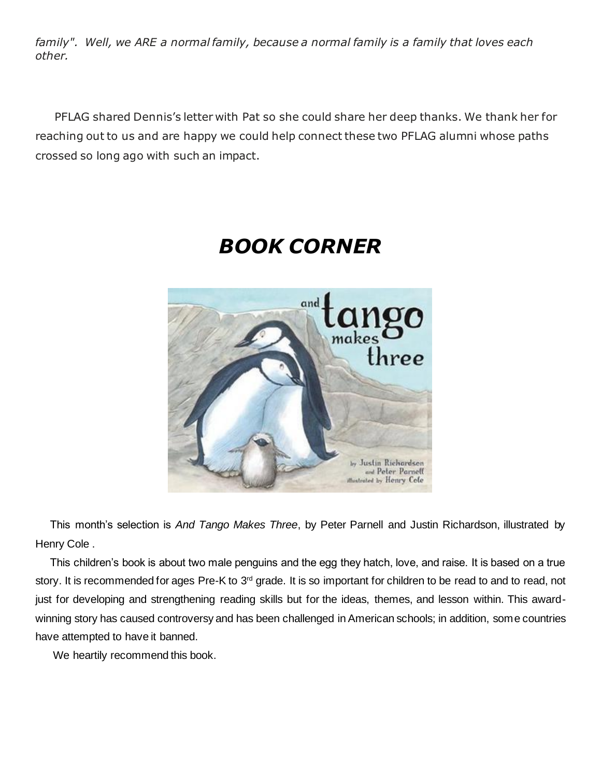*family". Well, we ARE a normal family, because a normal family is a family that loves each other.*

 PFLAG shared Dennis's letter with Pat so she could share her deep thanks. We thank her for reaching out to us and are happy we could help connect these two PFLAG alumni whose paths crossed so long ago with such an impact.



# *BOOK CORNER*

 This month's selection is *And Tango Makes Three*, by Peter Parnell and Justin Richardson, illustrated by Henry Cole .

 This children's book is about two male penguins and the egg they hatch, love, and raise. It is based on a true story. It is recommended for ages Pre-K to 3<sup>rd</sup> grade. It is so important for children to be read to and to read, not just for developing and strengthening reading skills but for the ideas, themes, and lesson within. This awardwinning story has caused controversy and has been challenged in American schools; in addition, some countries have attempted to have it banned.

We heartily recommend this book.